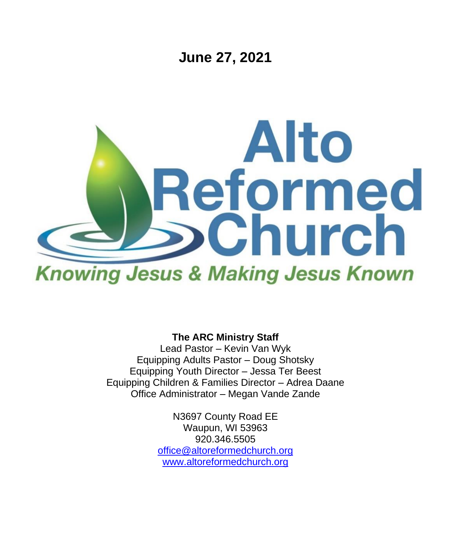**June 27, 2021**



**The ARC Ministry Staff**

Lead Pastor – Kevin Van Wyk Equipping Adults Pastor – Doug Shotsky Equipping Youth Director – Jessa Ter Beest Equipping Children & Families Director – Adrea Daane Office Administrator – Megan Vande Zande

> N3697 County Road EE Waupun, WI 53963 920.346.5505 [office@altoreformedchurch.org](mailto:office@altoreformedchurch.org) [www.altoreformedchurch.org](http://www.altoreformedchurch.org/)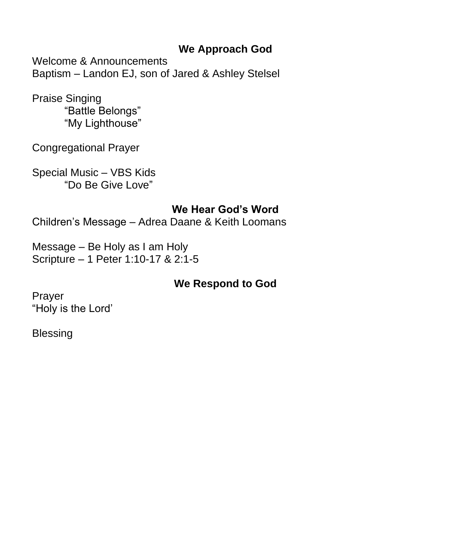# **We Approach God**

Welcome & Announcements Baptism – Landon EJ, son of Jared & Ashley Stelsel

Praise Singing "Battle Belongs" "My Lighthouse"

Congregational Prayer

Special Music – VBS Kids "Do Be Give Love"

# **We Hear God's Word**

Children's Message – Adrea Daane & Keith Loomans

Message – Be Holy as I am Holy Scripture – 1 Peter 1:10-17 & 2:1-5

# **We Respond to God**

Prayer "Holy is the Lord'

Blessing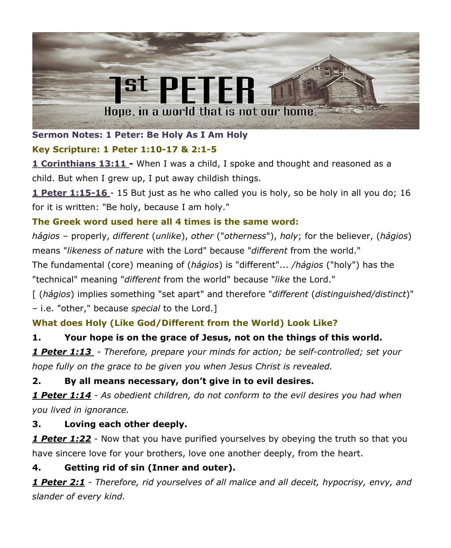

## **Sermon Notes: 1 Peter: Be Holy As I Am Holy**

## **Key Scripture: 1 Peter 1:10-17 & 2:1-5**

**1 Corinthians 13:11 -** When I was a child, I spoke and thought and reasoned as a child. But when I grew up, I put away childish things.

**1 Peter 1:15-16** - 15 But just as he who called you is holy, so be holy in all you do; 16 for it is written: "Be holy, because I am holy."

## **The Greek word used here all 4 times is the same word:**

*hágios* – properly, *different* (*unlike*), *other* ("*otherness*"), *holy*; for the believer, (*hágios*) means "*likeness of nature* with the Lord" because "*different* from the world."

The fundamental (core) meaning of (*hágios*) is "different"... */hágios* ("holy") has the "technical" meaning "*different* from the world" because "*like* the Lord."

[ (*hágios*) implies something "set apart" and therefore "*different* (*distinguished/distinct*)" – i.e. "other," because *special* to the Lord.]

# **What does Holy (Like God/Different from the World) Look Like?**

# **1. Your hope is on the grace of Jesus, not on the things of this world.**

*1 Peter 1:13 - Therefore, prepare your minds for action; be self-controlled; set your hope fully on the grace to be given you when Jesus Christ is revealed.*

## **2. By all means necessary, don't give in to evil desires.**

*1 Peter 1:14 - As obedient children, do not conform to the evil desires you had when you lived in ignorance.*

## **3. Loving each other deeply.**

*1 Peter 1:22* - Now that you have purified yourselves by obeying the truth so that you have sincere love for your brothers, love one another deeply, from the heart.

## **4. Getting rid of sin (Inner and outer).**

*1 Peter 2:1* - *Therefore, rid yourselves of all malice and all deceit, hypocrisy, envy, and slander of every kind.*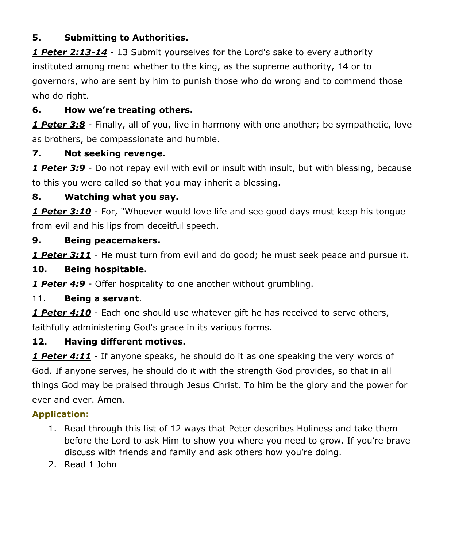#### **5. Submitting to Authorities.**

*1 Peter 2:13-14* - 13 Submit yourselves for the Lord's sake to every authority instituted among men: whether to the king, as the supreme authority, 14 or to governors, who are sent by him to punish those who do wrong and to commend those who do right.

### **6. How we're treating others.**

*1 Peter 3:8* - Finally, all of you, live in harmony with one another; be sympathetic, love as brothers, be compassionate and humble.

#### **7. Not seeking revenge.**

*1 Peter 3:9* - Do not repay evil with evil or insult with insult, but with blessing, because to this you were called so that you may inherit a blessing.

#### **8. Watching what you say.**

*1 Peter 3:10* - For, "Whoever would love life and see good days must keep his tongue from evil and his lips from deceitful speech.

#### **9. Being peacemakers.**

*1 Peter 3:11* - He must turn from evil and do good; he must seek peace and pursue it.

#### **10. Being hospitable.**

*1 Peter 4:9* - Offer hospitality to one another without grumbling.

#### 11. **Being a servant**.

*1 Peter 4:10* - Each one should use whatever gift he has received to serve others, faithfully administering God's grace in its various forms.

#### **12. Having different motives.**

*1 Peter 4:11* - If anyone speaks, he should do it as one speaking the very words of God. If anyone serves, he should do it with the strength God provides, so that in all things God may be praised through Jesus Christ. To him be the glory and the power for ever and ever. Amen.

## **Application:**

- 1. Read through this list of 12 ways that Peter describes Holiness and take them before the Lord to ask Him to show you where you need to grow. If you're brave discuss with friends and family and ask others how you're doing.
- 2. Read 1 John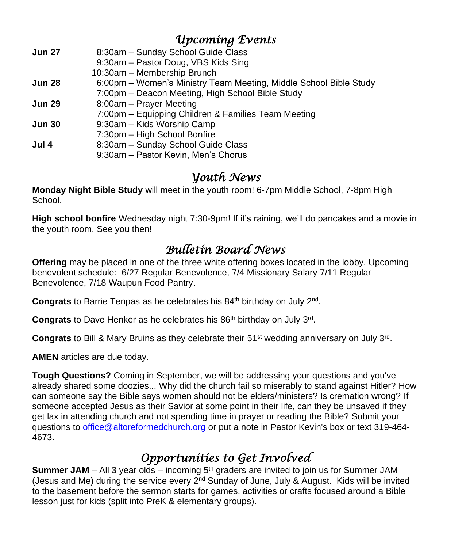# *Upcoming Events*

| 9:30am - Pastor Doug, VBS Kids Sing<br>10:30am - Membership Brunch                 |  |
|------------------------------------------------------------------------------------|--|
|                                                                                    |  |
|                                                                                    |  |
| 6:00pm - Women's Ministry Team Meeting, Middle School Bible Study<br><b>Jun 28</b> |  |
| 7:00pm - Deacon Meeting, High School Bible Study                                   |  |
| 8:00am – Prayer Meeting<br><b>Jun 29</b>                                           |  |
| 7:00pm - Equipping Children & Families Team Meeting                                |  |
| 9:30am – Kids Worship Camp<br><b>Jun 30</b>                                        |  |
| 7:30pm - High School Bonfire                                                       |  |
| 8:30am - Sunday School Guide Class<br>Jul 4                                        |  |
| 9:30am - Pastor Kevin, Men's Chorus                                                |  |

# *Youth News*

**Monday Night Bible Study** will meet in the youth room! 6-7pm Middle School, 7-8pm High School.

**High school bonfire** Wednesday night 7:30-9pm! If it's raining, we'll do pancakes and a movie in the youth room. See you then!

# *Bulletin Board News*

**Offering** may be placed in one of the three white offering boxes located in the lobby. Upcoming benevolent schedule: 6/27 Regular Benevolence, 7/4 Missionary Salary 7/11 Regular Benevolence, 7/18 Waupun Food Pantry.

Congrats to Barrie Tenpas as he celebrates his 84<sup>th</sup> birthday on July 2<sup>nd</sup>.

Congrats to Dave Henker as he celebrates his 86<sup>th</sup> birthday on July 3<sup>rd</sup>.

Congrats to Bill & Mary Bruins as they celebrate their 51<sup>st</sup> wedding anniversary on July 3<sup>rd</sup>.

**AMEN** articles are due today.

**Tough Questions?** Coming in September, we will be addressing your questions and you've already shared some doozies... Why did the church fail so miserably to stand against Hitler? How can someone say the Bible says women should not be elders/ministers? Is cremation wrong? If someone accepted Jesus as their Savior at some point in their life, can they be unsaved if they get lax in attending church and not spending time in prayer or reading the Bible? Submit your questions to [office@altoreformedchurch.org](mailto:office@altoreformedchurch.org) or put a note in Pastor Kevin's box or text 319-464- 4673.

# *Opportunities to Get Involved*

**Summer JAM** – All 3 year olds – incoming 5<sup>th</sup> graders are invited to join us for Summer JAM (Jesus and Me) during the service every 2<sup>nd</sup> Sunday of June, July & August. Kids will be invited to the basement before the sermon starts for games, activities or crafts focused around a Bible lesson just for kids (split into PreK & elementary groups).